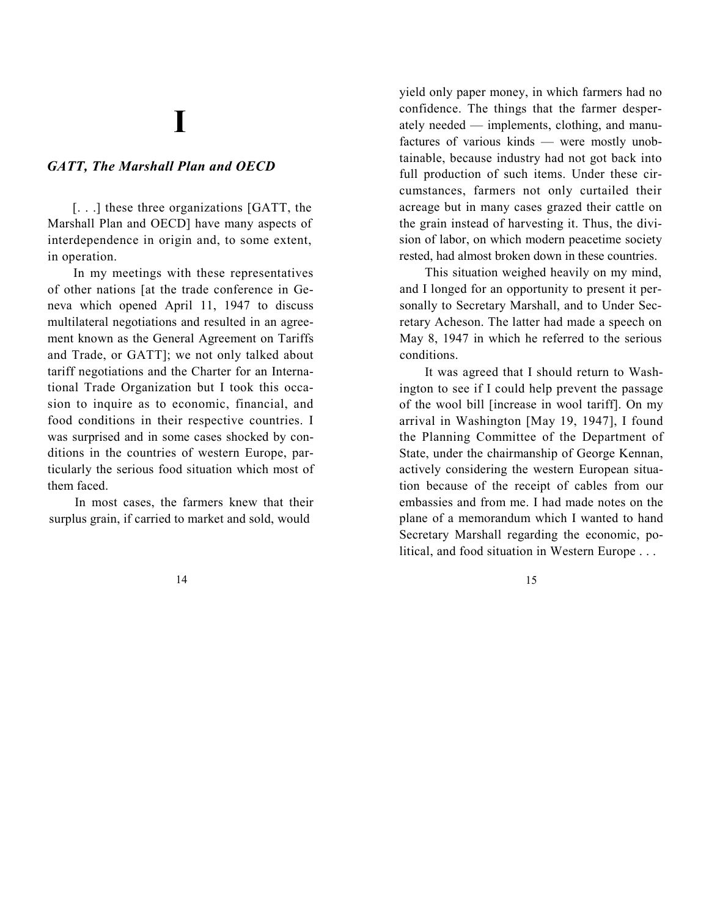### **I**

#### *GATT, The Marshall Plan and OECD*

[. . .] these three organizations [GATT, the Marshall Plan and OECD] have many aspects of interdependence in origin and, to some extent, in operation.

In my meetings with these representatives of other nations [at the trade conference in Geneva which opened April 11, 1947 to discuss multilateral negotiations and resulted in an agreement known as the General Agreement on Tariffs and Trade, or GATT]; we not only talked about tariff negotiations and the Charter for an International Trade Organization but I took this occasion to inquire as to economic, financial, and food conditions in their respective countries. I was surprised and in some cases shocked by conditions in the countries of western Europe, particularly the serious food situation which most of them faced.

In most cases, the farmers knew that their surplus grain, if carried to market and sold, would

yield only paper money, in which farmers had no confidence. The things that the farmer desperately needed — implements, clothing, and manufactures of various kinds — were mostly unobtainable, because industry had not got back into full production of such items. Under these circumstances, farmers not only curtailed their acreage but in many cases grazed their cattle on the grain instead of harvesting it. Thus, the division of labor, on which modern peacetime society rested, had almost broken down in these countries.

This situation weighed heavily on my mind, and I longed for an opportunity to present it personally to Secretary Marshall, and to Under Secretary Acheson. The latter had made a speech on May 8, 1947 in which he referred to the serious conditions.

It was agreed that I should return to Washington to see if I could help prevent the passage of the wool bill [increase in wool tariff]. On my arrival in Washington [May 19, 1947], I found the Planning Committee of the Department of State, under the chairmanship of George Kennan, actively considering the western European situation because of the receipt of cables from our embassies and from me. I had made notes on the plane of a memorandum which I wanted to hand Secretary Marshall regarding the economic, political, and food situation in Western Europe . . .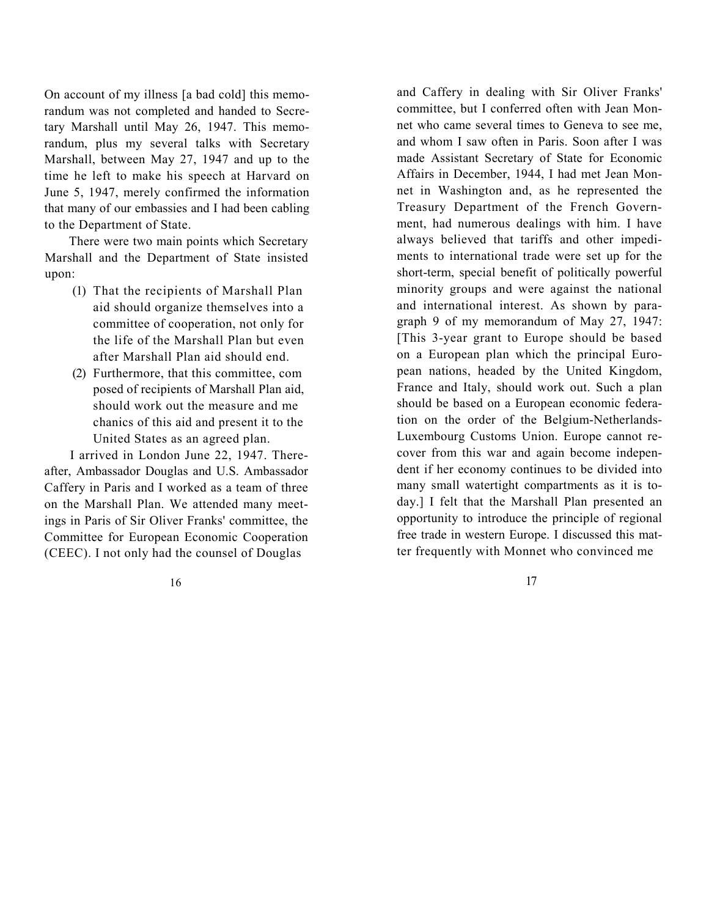On account of my illness [a bad cold] this memorandum was not completed and handed to Secretary Marshall until May 26, 1947. This memorandum, plus my several talks with Secretary Marshall, between May 27, 1947 and up to the time he left to make his speech at Harvard on June 5, 1947, merely confirmed the information that many of our embassies and I had been cabling to the Department of State.

There were two main points which Secretary Marshall and the Department of State insisted upon:

- (1) That the recipients of Marshall Plan aid should organize themselves into a committee of cooperation, not only for the life of the Marshall Plan but even after Marshall Plan aid should end.
- (2) Furthermore, that this committee, com posed of recipients of Marshall Plan aid, should work out the measure and me chanics of this aid and present it to the United States as an agreed plan.

I arrived in London June 22, 1947. Thereafter, Ambassador Douglas and U.S. Ambassador Caffery in Paris and I worked as a team of three on the Marshall Plan. We attended many meetings in Paris of Sir Oliver Franks' committee, the Committee for European Economic Cooperation (CEEC). I not only had the counsel of Douglas

and Caffery in dealing with Sir Oliver Franks' committee, but I conferred often with Jean Monnet who came several times to Geneva to see me, and whom I saw often in Paris. Soon after I was made Assistant Secretary of State for Economic Affairs in December, 1944, I had met Jean Monnet in Washington and, as he represented the Treasury Department of the French Government, had numerous dealings with him. I have always believed that tariffs and other impediments to international trade were set up for the short-term, special benefit of politically powerful minority groups and were against the national and international interest. As shown by paragraph 9 of my memorandum of May 27, 1947: [This 3-year grant to Europe should be based on a European plan which the principal European nations, headed by the United Kingdom, France and Italy, should work out. Such a plan should be based on a European economic federation on the order of the Belgium-Netherlands-Luxembourg Customs Union. Europe cannot recover from this war and again become independent if her economy continues to be divided into many small watertight compartments as it is today.] I felt that the Marshall Plan presented an opportunity to introduce the principle of regional free trade in western Europe. I discussed this matter frequently with Monnet who convinced me

16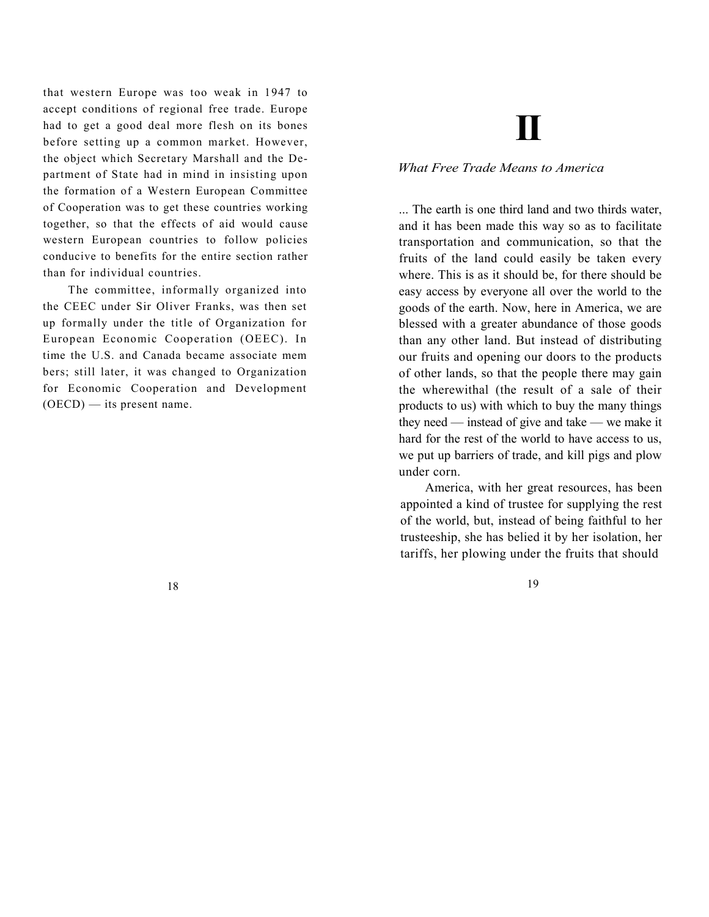that western Europe was too weak in 1947 to accept conditions of regional free trade. Europe had to get a good deal more flesh on its bones before setting up a common market. However, the object which Secretary Marshall and the Department of State had in mind in insisting upon the formation of a Western European Committee of Cooperation was to get these countries working together, so that the effects of aid would cause western European countries to follow policies conducive to benefits for the entire section rather than for individual countries.

The committee, informally organized into the CEEC under Sir Oliver Franks, was then set up formally under the title of Organization for European Economic Cooperation (OEEC). In time the U.S. and Canada became associate mem bers; still later, it was changed to Organization for Economic Cooperation and Development  $(OECD)$  — its present name.

### **II**

#### *What Free Trade Means to America*

... The earth is one third land and two thirds water, and it has been made this way so as to facilitate transportation and communication, so that the fruits of the land could easily be taken every where. This is as it should be, for there should be easy access by everyone all over the world to the goods of the earth. Now, here in America, we are blessed with a greater abundance of those goods than any other land. But instead of distributing our fruits and opening our doors to the products of other lands, so that the people there may gain the wherewithal (the result of a sale of their products to us) with which to buy the many things they need — instead of give and take — we make it hard for the rest of the world to have access to us, we put up barriers of trade, and kill pigs and plow under corn.

America, with her great resources, has been appointed a kind of trustee for supplying the rest of the world, but, instead of being faithful to her trusteeship, she has belied it by her isolation, her tariffs, her plowing under the fruits that should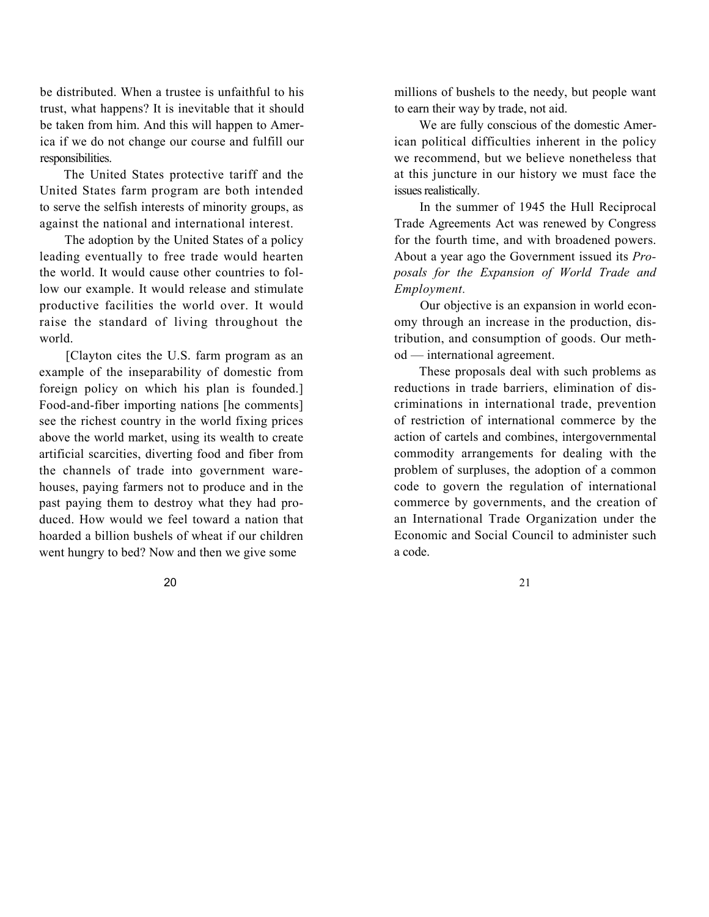be distributed. When a trustee is unfaithful to his trust, what happens? It is inevitable that it should be taken from him. And this will happen to America if we do not change our course and fulfill our responsibilities.

The United States protective tariff and the United States farm program are both intended to serve the selfish interests of minority groups, as against the national and international interest.

The adoption by the United States of a policy leading eventually to free trade would hearten the world. It would cause other countries to follow our example. It would release and stimulate productive facilities the world over. It would raise the standard of living throughout the world.

[Clayton cites the U.S. farm program as an example of the inseparability of domestic from foreign policy on which his plan is founded.] Food-and-fiber importing nations [he comments] see the richest country in the world fixing prices above the world market, using its wealth to create artificial scarcities, diverting food and fiber from the channels of trade into government warehouses, paying farmers not to produce and in the past paying them to destroy what they had produced. How would we feel toward a nation that hoarded a billion bushels of wheat if our children went hungry to bed? Now and then we give some

millions of bushels to the needy, but people want to earn their way by trade, not aid.

We are fully conscious of the domestic American political difficulties inherent in the policy we recommend, but we believe nonetheless that at this juncture in our history we must face the issues realistically.

In the summer of 1945 the Hull Reciprocal Trade Agreements Act was renewed by Congress for the fourth time, and with broadened powers. About a year ago the Government issued its *Proposals for the Expansion of World Trade and Employment.*

Our objective is an expansion in world economy through an increase in the production, distribution, and consumption of goods. Our method — international agreement.

These proposals deal with such problems as reductions in trade barriers, elimination of discriminations in international trade, prevention of restriction of international commerce by the action of cartels and combines, intergovernmental commodity arrangements for dealing with the problem of surpluses, the adoption of a common code to govern the regulation of international commerce by governments, and the creation of an International Trade Organization under the Economic and Social Council to administer such a code.

 $20$  and  $21$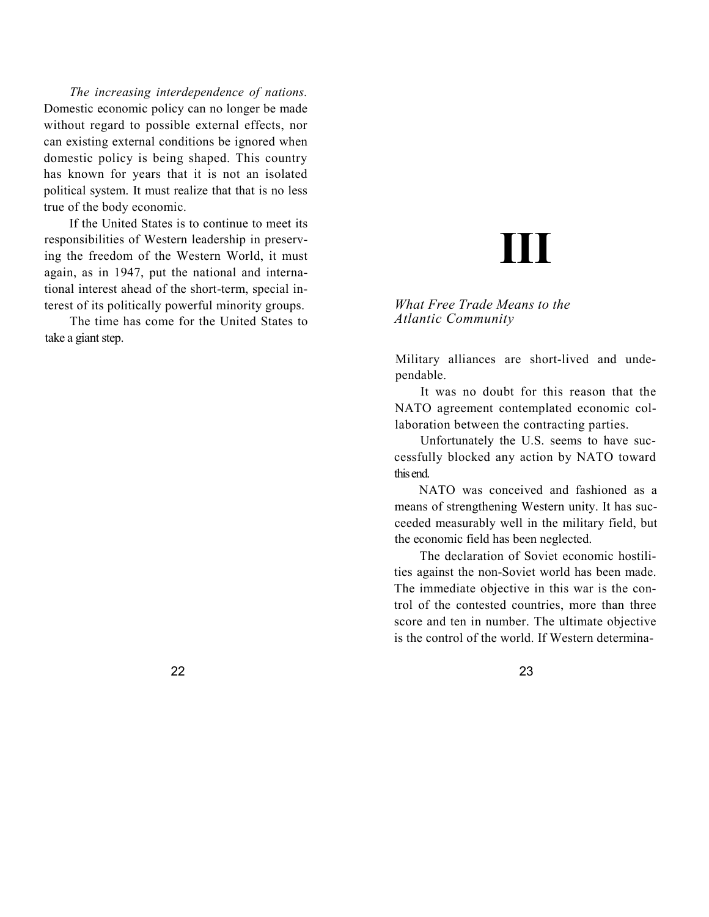*The increasing interdependence of nations.*  Domestic economic policy can no longer be made without regard to possible external effects, nor can existing external conditions be ignored when domestic policy is being shaped. This country has known for years that it is not an isolated political system. It must realize that that is no less true of the body economic.

If the United States is to continue to meet its responsibilities of Western leadership in preserving the freedom of the Western World, it must again, as in 1947, put the national and international interest ahead of the short-term, special interest of its politically powerful minority groups.

The time has come for the United States to take a giant step.

# **III**

#### *What Free Trade Means to the Atlantic Community*

Military alliances are short-lived and undependable.

It was no doubt for this reason that the NATO agreement contemplated economic collaboration between the contracting parties.

Unfortunately the U.S. seems to have successfully blocked any action by NATO toward this end.

NATO was conceived and fashioned as a means of strengthening Western unity. It has succeeded measurably well in the military field, but the economic field has been neglected.

The declaration of Soviet economic hostilities against the non-Soviet world has been made. The immediate objective in this war is the control of the contested countries, more than three score and ten in number. The ultimate objective is the control of the world. If Western determina-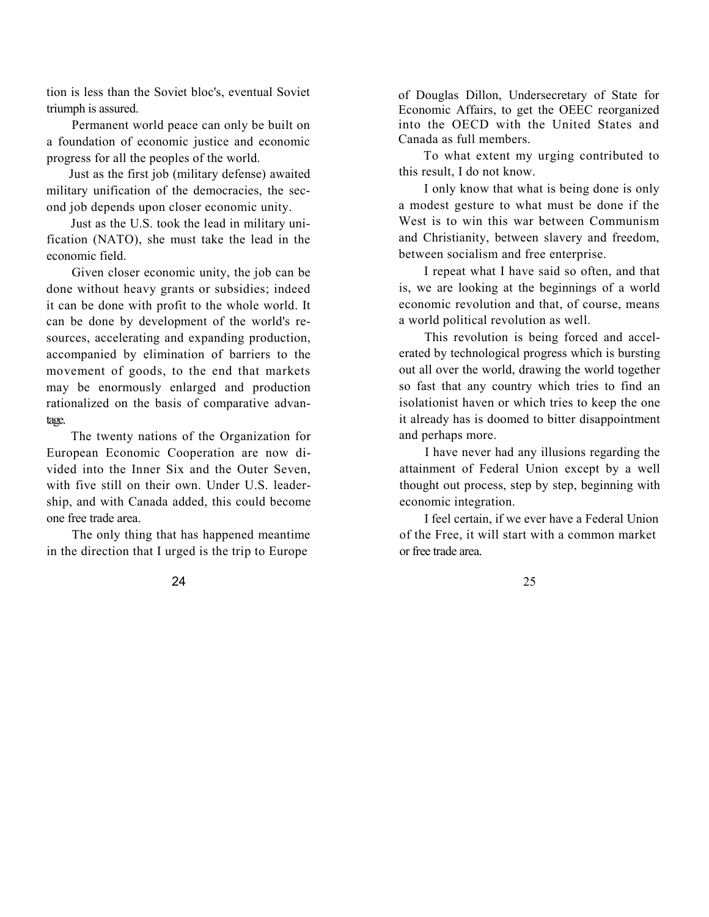tion is less than the Soviet bloc's, eventual Soviet triumph is assured.

Permanent world peace can only be built on a foundation of economic justice and economic progress for all the peoples of the world.

Just as the first job (military defense) awaited military unification of the democracies, the second job depends upon closer economic unity.

Just as the U.S. took the lead in military unification (NATO), she must take the lead in the economic field.

Given closer economic unity, the job can be done without heavy grants or subsidies; indeed it can be done with profit to the whole world. It can be done by development of the world's resources, accelerating and expanding production, accompanied by elimination of barriers to the movement of goods, to the end that markets may be enormously enlarged and production rationalized on the basis of comparative advantage.

The twenty nations of the Organization for European Economic Cooperation are now divided into the Inner Six and the Outer Seven, with five still on their own. Under U.S. leadership, and with Canada added, this could become one free trade area.

The only thing that has happened meantime in the direction that I urged is the trip to Europe

of Douglas Dillon, Undersecretary of State for Economic Affairs, to get the OEEC reorganized into the OECD with the United States and Canada as full members.

To what extent my urging contributed to this result, I do not know.

I only know that what is being done is only a modest gesture to what must be done if the West is to win this war between Communism and Christianity, between slavery and freedom, between socialism and free enterprise.

I repeat what I have said so often, and that is, we are looking at the beginnings of a world economic revolution and that, of course, means a world political revolution as well.

This revolution is being forced and accelerated by technological progress which is bursting out all over the world, drawing the world together so fast that any country which tries to find an isolationist haven or which tries to keep the one it already has is doomed to bitter disappointment and perhaps more.

I have never had any illusions regarding the attainment of Federal Union except by a well thought out process, step by step, beginning with economic integration.

I feel certain, if we ever have a Federal Union of the Free, it will start with a common market or free trade area.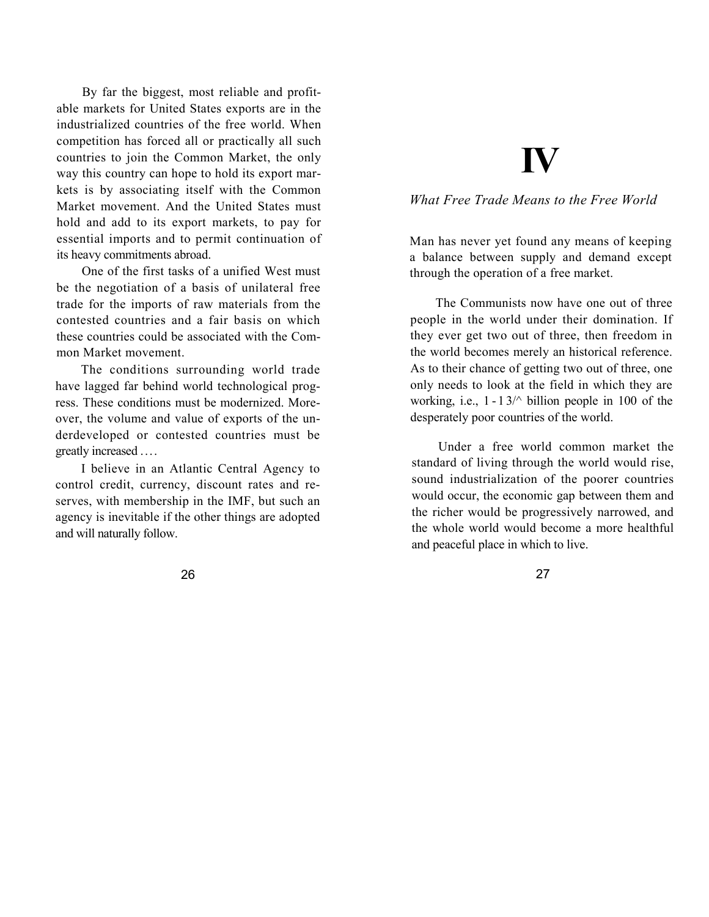By far the biggest, most reliable and profitable markets for United States exports are in the industrialized countries of the free world. When competition has forced all or practically all such countries to join the Common Market, the only way this country can hope to hold its export markets is by associating itself with the Common Market movement. And the United States must hold and add to its export markets, to pay for essential imports and to permit continuation of its heavy commitments abroad.

One of the first tasks of a unified West must be the negotiation of a basis of unilateral free trade for the imports of raw materials from the contested countries and a fair basis on which these countries could be associated with the Common Market movement.

The conditions surrounding world trade have lagged far behind world technological progress. These conditions must be modernized. Moreover, the volume and value of exports of the underdeveloped or contested countries must be greatly increased ....

I believe in an Atlantic Central Agency to control credit, currency, discount rates and reserves, with membership in the IMF, but such an agency is inevitable if the other things are adopted and will naturally follow.

## **IV**

### *What Free Trade Means to the Free World*

Man has never yet found any means of keeping a balance between supply and demand except through the operation of a free market.

The Communists now have one out of three people in the world under their domination. If they ever get two out of three, then freedom in the world becomes merely an historical reference. As to their chance of getting two out of three, one only needs to look at the field in which they are working, i.e.,  $1 - 13$ / $\land$  billion people in 100 of the desperately poor countries of the world.

Under a free world common market the standard of living through the world would rise, sound industrialization of the poorer countries would occur, the economic gap between them and the richer would be progressively narrowed, and the whole world would become a more healthful and peaceful place in which to live.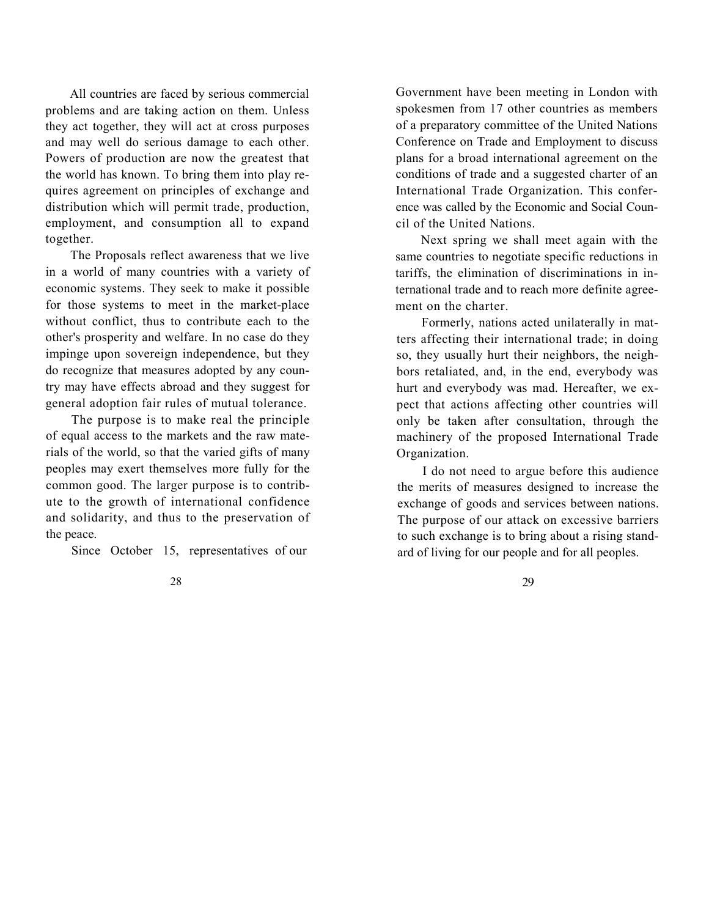All countries are faced by serious commercial problems and are taking action on them. Unless they act together, they will act at cross purposes and may well do serious damage to each other. Powers of production are now the greatest that the world has known. To bring them into play requires agreement on principles of exchange and distribution which will permit trade, production, employment, and consumption all to expand together.

The Proposals reflect awareness that we live in a world of many countries with a variety of economic systems. They seek to make it possible for those systems to meet in the market-place without conflict, thus to contribute each to the other's prosperity and welfare. In no case do they impinge upon sovereign independence, but they do recognize that measures adopted by any country may have effects abroad and they suggest for general adoption fair rules of mutual tolerance.

The purpose is to make real the principle of equal access to the markets and the raw materials of the world, so that the varied gifts of many peoples may exert themselves more fully for the common good. The larger purpose is to contribute to the growth of international confidence and solidarity, and thus to the preservation of the peace.

Since October 15, representatives of our

Government have been meeting in London with spokesmen from 17 other countries as members of a preparatory committee of the United Nations Conference on Trade and Employment to discuss plans for a broad international agreement on the conditions of trade and a suggested charter of an International Trade Organization. This conference was called by the Economic and Social Council of the United Nations.

Next spring we shall meet again with the same countries to negotiate specific reductions in tariffs, the elimination of discriminations in international trade and to reach more definite agreement on the charter.

Formerly, nations acted unilaterally in matters affecting their international trade; in doing so, they usually hurt their neighbors, the neighbors retaliated, and, in the end, everybody was hurt and everybody was mad. Hereafter, we expect that actions affecting other countries will only be taken after consultation, through the machinery of the proposed International Trade Organization.

I do not need to argue before this audience the merits of measures designed to increase the exchange of goods and services between nations. The purpose of our attack on excessive barriers to such exchange is to bring about a rising standard of living for our people and for all peoples.

28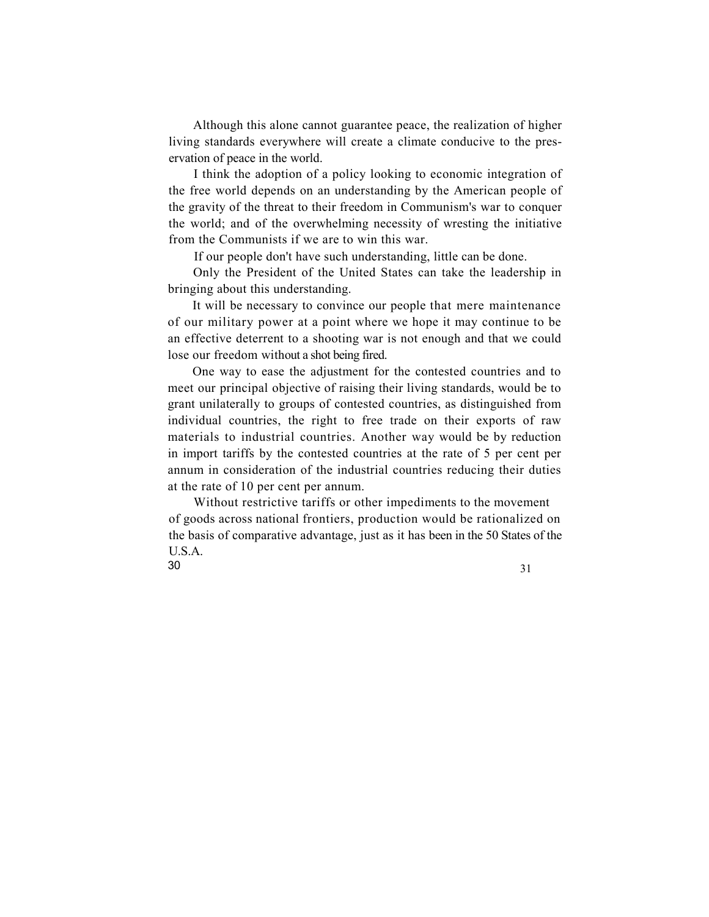Although this alone cannot guarantee peace, the realization of higher living standards everywhere will create a climate conducive to the preservation of peace in the world.

I think the adoption of a policy looking to economic integration of the free world depends on an understanding by the American people of the gravity of the threat to their freedom in Communism's war to conquer the world; and of the overwhelming necessity of wresting the initiative from the Communists if we are to win this war.

If our people don't have such understanding, little can be done.

Only the President of the United States can take the leadership in bringing about this understanding.

It will be necessary to convince our people that mere maintenance of our military power at a point where we hope it may continue to be an effective deterrent to a shooting war is not enough and that we could lose our freedom without a shot being fired.

One way to ease the adjustment for the contested countries and to meet our principal objective of raising their living standards, would be to grant unilaterally to groups of contested countries, as distinguished from individual countries, the right to free trade on their exports of raw materials to industrial countries. Another way would be by reduction in import tariffs by the contested countries at the rate of 5 per cent per annum in consideration of the industrial countries reducing their duties at the rate of 10 per cent per annum.

Without restrictive tariffs or other impediments to the movement of goods across national frontiers, production would be rationalized on the basis of comparative advantage, just as it has been in the 50 States of the U.S.A.  $30\frac{31}{2}$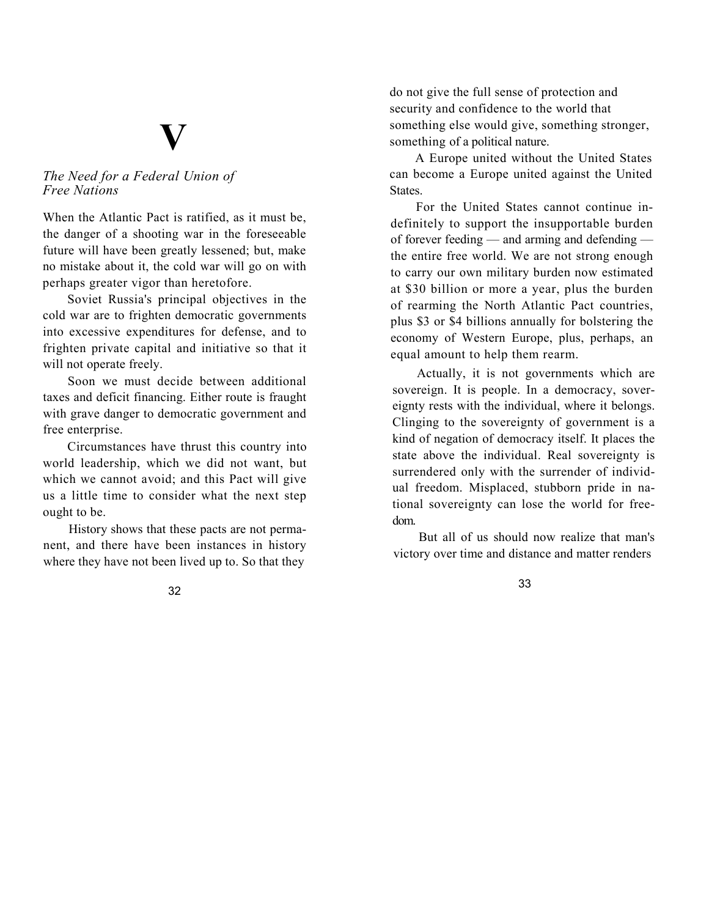#### *The Need for a Federal Union of Free Nations*

When the Atlantic Pact is ratified, as it must be, the danger of a shooting war in the foreseeable future will have been greatly lessened; but, make no mistake about it, the cold war will go on with perhaps greater vigor than heretofore.

**V**

Soviet Russia's principal objectives in the cold war are to frighten democratic governments into excessive expenditures for defense, and to frighten private capital and initiative so that it will not operate freely.

Soon we must decide between additional taxes and deficit financing. Either route is fraught with grave danger to democratic government and free enterprise.

Circumstances have thrust this country into world leadership, which we did not want, but which we cannot avoid; and this Pact will give us a little time to consider what the next step ought to be.

History shows that these pacts are not permanent, and there have been instances in history where they have not been lived up to. So that they

do not give the full sense of protection and security and confidence to the world that something else would give, something stronger, something of a political nature.

A Europe united without the United States can become a Europe united against the United **States**.

For the United States cannot continue indefinitely to support the insupportable burden of forever feeding — and arming and defending the entire free world. We are not strong enough to carry our own military burden now estimated at \$30 billion or more a year, plus the burden of rearming the North Atlantic Pact countries, plus \$3 or \$4 billions annually for bolstering the economy of Western Europe, plus, perhaps, an equal amount to help them rearm.

Actually, it is not governments which are sovereign. It is people. In a democracy, sovereignty rests with the individual, where it belongs. Clinging to the sovereignty of government is a kind of negation of democracy itself. It places the state above the individual. Real sovereignty is surrendered only with the surrender of individual freedom. Misplaced, stubborn pride in national sovereignty can lose the world for freedom.

But all of us should now realize that man's victory over time and distance and matter renders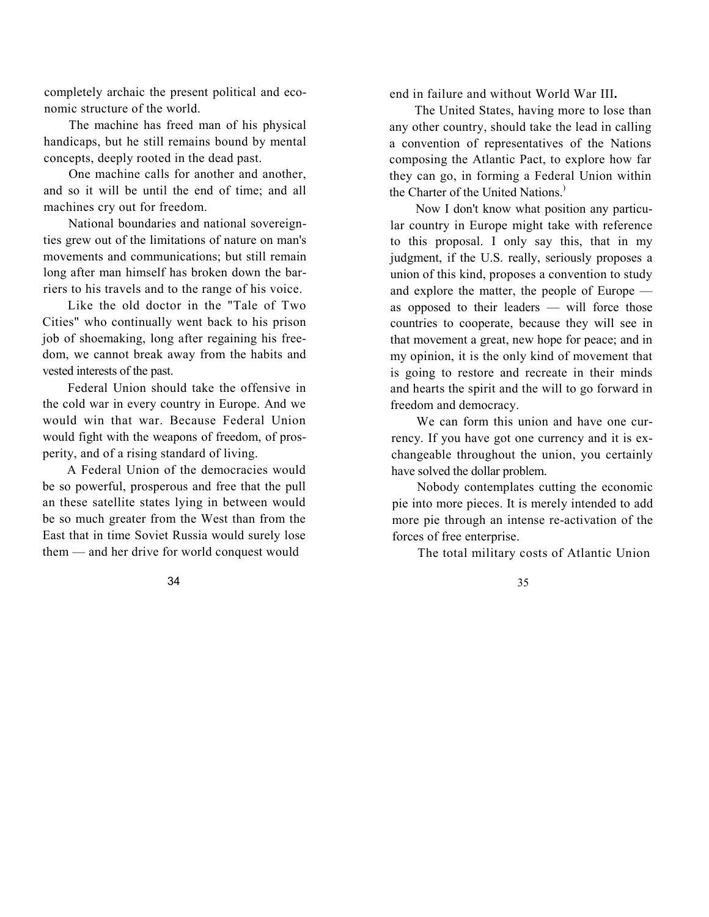completely archaic the present political and economic structure of the world.

The machine has freed man of his physical handicaps, but he still remains bound by mental concepts, deeply rooted in the dead past.

One machine calls for another and another, and so it will be until the end of time; and all machines cry out for freedom.

National boundaries and national sovereignties grew out of the limitations of nature on man's movements and communications; but still remain long after man himself has broken down the barriers to his travels and to the range of his voice.

Like the old doctor in the "Tale of Two Cities" who continually went back to his prison job of shoemaking, long after regaining his freedom, we cannot break away from the habits and vested interests of the past.

Federal Union should take the offensive in the cold war in every country in Europe. And we would win that war. Because Federal Union would fight with the weapons of freedom, of prosperity, and of a rising standard of living.

A Federal Union of the democracies would be so powerful, prosperous and free that the pull an these satellite states lying in between would be so much greater from the West than from the East that in time Soviet Russia would surely lose them — and her drive for world conquest would

end in failure and without World War III**.**

The United States, having more to lose than any other country, should take the lead in calling a convention of representatives of the Nations composing the Atlantic Pact, to explore how far they can go, in forming a Federal Union within the Charter of the United Nations.)

Now I don't know what position any particular country in Europe might take with reference to this proposal. I only say this, that in my judgment, if the U.S. really, seriously proposes a union of this kind, proposes a convention to study and explore the matter, the people of Europe as opposed to their leaders — will force those countries to cooperate, because they will see in that movement a great, new hope for peace; and in my opinion, it is the only kind of movement that is going to restore and recreate in their minds and hearts the spirit and the will to go forward in freedom and democracy.

We can form this union and have one currency. If you have got one currency and it is exchangeable throughout the union, you certainly have solved the dollar problem.

Nobody contemplates cutting the economic pie into more pieces. It is merely intended to add more pie through an intense re-activation of the forces of free enterprise.

The total military costs of Atlantic Union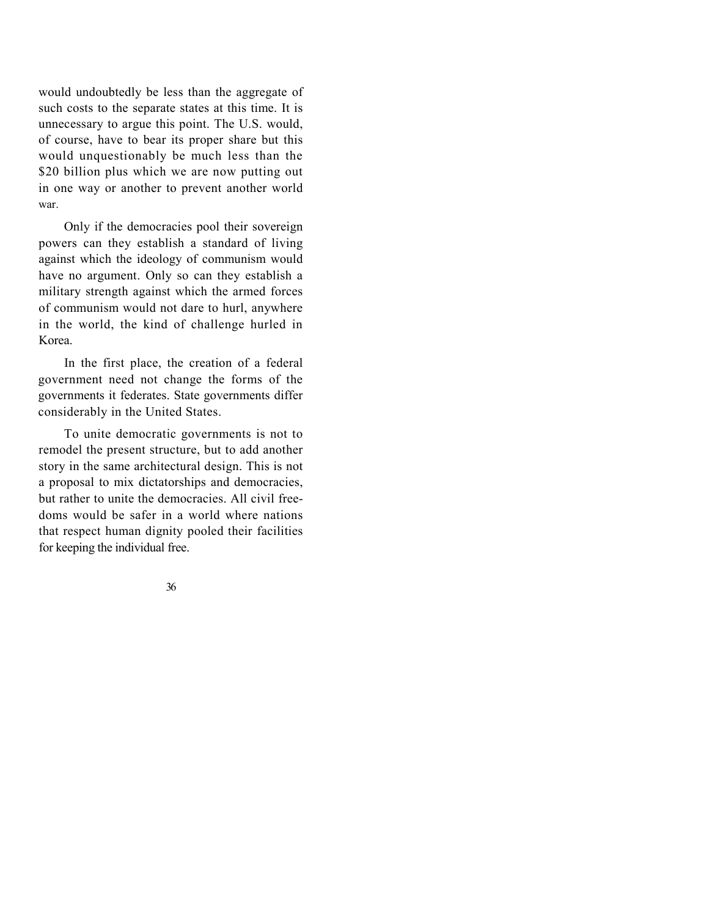would undoubtedly be less than the aggregate of such costs to the separate states at this time. It is unnecessary to argue this point. The U.S. would, of course, have to bear its proper share but this would unquestionably be much less than the \$20 billion plus which we are now putting out in one way or another to prevent another world war.

Only if the democracies pool their sovereign powers can they establish a standard of living against which the ideology of communism would have no argument. Only so can they establish a military strength against which the armed forces of communism would not dare to hurl, anywhere in the world, the kind of challenge hurled in Korea.

In the first place, the creation of a federal government need not change the forms of the governments it federates. State governments differ considerably in the United States.

To unite democratic governments is not to remodel the present structure, but to add another story in the same architectural design. This is not a proposal to mix dictatorships and democracies, but rather to unite the democracies. All civil freedoms would be safer in a world where nations that respect human dignity pooled their facilities for keeping the individual free.